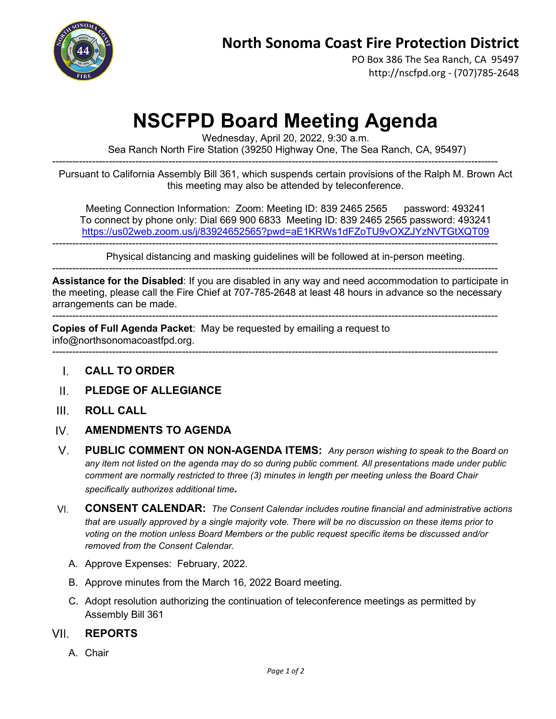

PO Box 386 The Sea Ranch, CA 95497 http://nscfpd.org - (707)785-2648

## **NSCFPD Board Meeting Agenda**

Wednesday, April 20, 2022, 9:30 a.m.

Sea Ranch North Fire Station (39250 Highway One, The Sea Ranch, CA, 95497)

-------------------------------------------------------------------------------------------------------------------------------------- Pursuant to California Assembly Bill 361, which suspends certain provisions of the Ralph M. Brown Act this meeting may also be attended by teleconference.

Meeting Connection Information: Zoom: Meeting ID: 839 2465 2565 password: 493241 To connect by phone only: Dial 669 900 6833 Meeting ID: 839 2465 2565 password: 493241 <https://us02web.zoom.us/j/83924652565?pwd=aE1KRWs1dFZoTU9vOXZJYzNVTGtXQT09>

Physical distancing and masking guidelines will be followed at in-person meeting.

--------------------------------------------------------------------------------------------------------------------------------------

--------------------------------------------------------------------------------------------------------------------------------------

**Assistance for the Disabled**: If you are disabled in any way and need accommodation to participate in the meeting, please call the Fire Chief at 707-785-2648 at least 48 hours in advance so the necessary arrangements can be made.

-------------------------------------------------------------------------------------------------------------------------------------- **Copies of Full Agenda Packet**: May be requested by emailing a request to

info@northsonomacoastfpd.org.

- --------------------------------------------------------------------------------------------------------------------------------------
	- **CALL TO ORDER** L.
- **PLEDGE OF ALLEGIANCE**  $\mathbf{H}$
- $III$ **ROLL CALL**
- IV. **AMENDMENTS TO AGENDA**
- $V_{\cdot}$ **PUBLIC COMMENT ON NON-AGENDA ITEMS:** *Any person wishing to speak to the Board on any item not listed on the agenda may do so during public comment. All presentations made under public comment are normally restricted to three (3) minutes in length per meeting unless the Board Chair specifically authorizes additional time.*
- **CONSENT CALENDAR:** *The Consent Calendar includes routine financial and administrative actions*  VI. *that are usually approved by a single majority vote. There will be no discussion on these items prior to voting on the motion unless Board Members or the public request specific items be discussed and/or removed from the Consent Calendar.*
	- A. Approve Expenses: February, 2022.
	- B. Approve minutes from the March 16, 2022 Board meeting.
	- C. Adopt resolution authorizing the continuation of teleconference meetings as permitted by Assembly Bill 361

## VII **REPORTS**

A. Chair